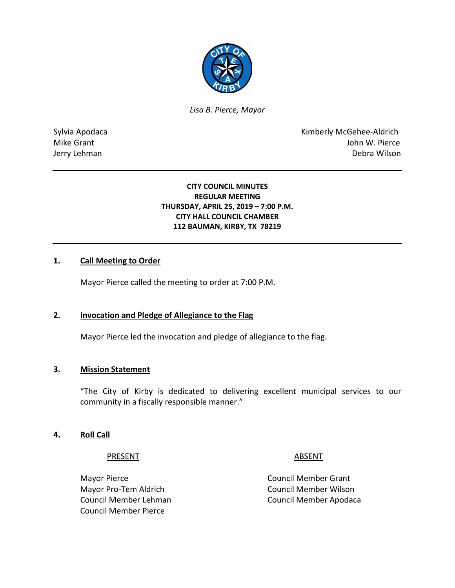

*Lisa B. Pierce, Mayor* 

Sylvia Apodaca **Kimberly McGehee-Aldrich** Mike Grant **Mike Grant** John W. Pierce Jerry Lehman Debra Wilson

## **CITY COUNCIL MINUTES REGULAR MEETING THURSDAY, APRIL 25, 2019 – 7:00 P.M. CITY HALL COUNCIL CHAMBER 112 BAUMAN, KIRBY, TX 78219**

## **1. Call Meeting to Order**

Mayor Pierce called the meeting to order at 7:00 P.M.

#### **2. Invocation and Pledge of Allegiance to the Flag**

Mayor Pierce led the invocation and pledge of allegiance to the flag.

#### **3. Mission Statement**

"The City of Kirby is dedicated to delivering excellent municipal services to our community in a fiscally responsible manner."

#### **4. Roll Call**

#### PRESENT ABSENT

Mayor Pro-Tem Aldrich Council Member Wilson Council Member Pierce

Mayor Pierce **Council Member Grant** Council Member Lehman Council Member Apodaca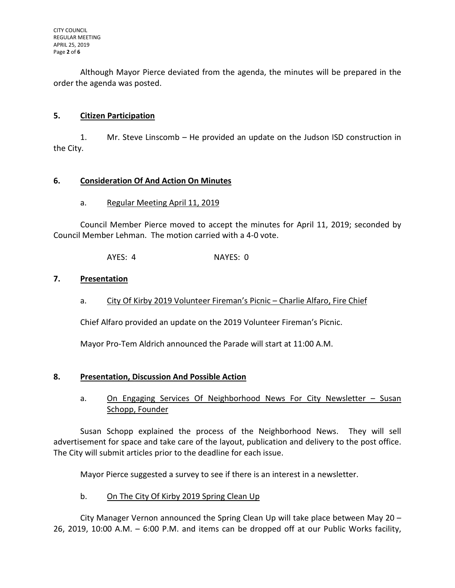Although Mayor Pierce deviated from the agenda, the minutes will be prepared in the order the agenda was posted.

# **5. Citizen Participation**

1. Mr. Steve Linscomb – He provided an update on the Judson ISD construction in the City.

## **6. Consideration Of And Action On Minutes**

a. Regular Meeting April 11, 2019

Council Member Pierce moved to accept the minutes for April 11, 2019; seconded by Council Member Lehman. The motion carried with a 4-0 vote.

AYES: 4 NAYES: 0

## **7. Presentation**

a. City Of Kirby 2019 Volunteer Fireman's Picnic – Charlie Alfaro, Fire Chief

Chief Alfaro provided an update on the 2019 Volunteer Fireman's Picnic.

Mayor Pro-Tem Aldrich announced the Parade will start at 11:00 A.M.

## **8. Presentation, Discussion And Possible Action**

a. On Engaging Services Of Neighborhood News For City Newsletter – Susan Schopp, Founder

Susan Schopp explained the process of the Neighborhood News. They will sell advertisement for space and take care of the layout, publication and delivery to the post office. The City will submit articles prior to the deadline for each issue.

Mayor Pierce suggested a survey to see if there is an interest in a newsletter.

# b. On The City Of Kirby 2019 Spring Clean Up

City Manager Vernon announced the Spring Clean Up will take place between May 20 – 26, 2019, 10:00 A.M. – 6:00 P.M. and items can be dropped off at our Public Works facility,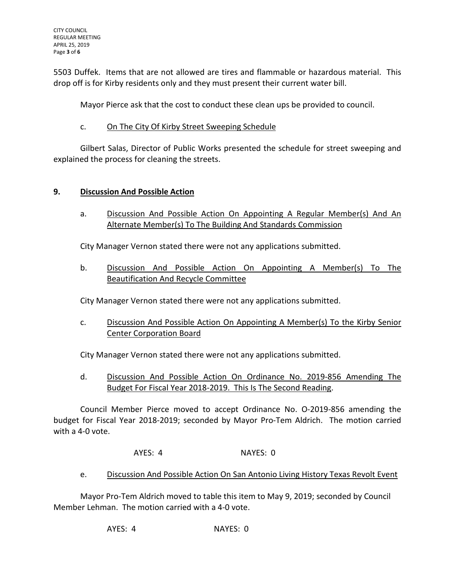5503 Duffek. Items that are not allowed are tires and flammable or hazardous material. This drop off is for Kirby residents only and they must present their current water bill.

Mayor Pierce ask that the cost to conduct these clean ups be provided to council.

# c. On The City Of Kirby Street Sweeping Schedule

Gilbert Salas, Director of Public Works presented the schedule for street sweeping and explained the process for cleaning the streets.

# **9. Discussion And Possible Action**

a. Discussion And Possible Action On Appointing A Regular Member(s) And An Alternate Member(s) To The Building And Standards Commission

City Manager Vernon stated there were not any applications submitted.

b. Discussion And Possible Action On Appointing A Member(s) To The Beautification And Recycle Committee

City Manager Vernon stated there were not any applications submitted.

c. Discussion And Possible Action On Appointing A Member(s) To the Kirby Senior Center Corporation Board

City Manager Vernon stated there were not any applications submitted.

d. Discussion And Possible Action On Ordinance No. 2019-856 Amending The Budget For Fiscal Year 2018-2019. This Is The Second Reading.

Council Member Pierce moved to accept Ordinance No. O-2019-856 amending the budget for Fiscal Year 2018-2019; seconded by Mayor Pro-Tem Aldrich. The motion carried with a 4-0 vote.

AYES: 4 NAYES: 0

e. Discussion And Possible Action On San Antonio Living History Texas Revolt Event

Mayor Pro-Tem Aldrich moved to table this item to May 9, 2019; seconded by Council Member Lehman. The motion carried with a 4-0 vote.

AYES: 4 NAYES: 0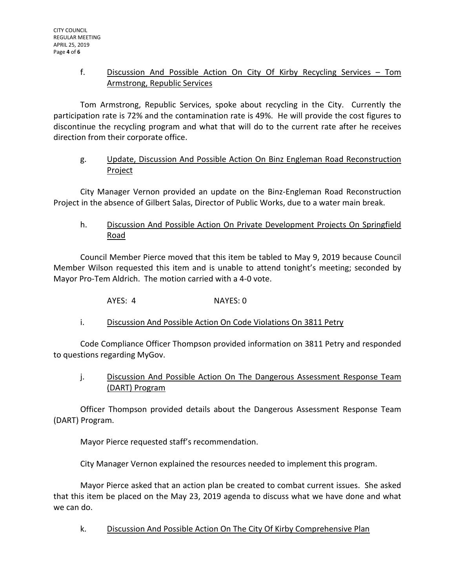# f. Discussion And Possible Action On City Of Kirby Recycling Services – Tom Armstrong, Republic Services

Tom Armstrong, Republic Services, spoke about recycling in the City. Currently the participation rate is 72% and the contamination rate is 49%. He will provide the cost figures to discontinue the recycling program and what that will do to the current rate after he receives direction from their corporate office.

# g. Update, Discussion And Possible Action On Binz Engleman Road Reconstruction Project

City Manager Vernon provided an update on the Binz-Engleman Road Reconstruction Project in the absence of Gilbert Salas, Director of Public Works, due to a water main break.

# h. Discussion And Possible Action On Private Development Projects On Springfield Road

Council Member Pierce moved that this item be tabled to May 9, 2019 because Council Member Wilson requested this item and is unable to attend tonight's meeting; seconded by Mayor Pro-Tem Aldrich. The motion carried with a 4-0 vote.

AYES: 4 NAYES: 0

i. Discussion And Possible Action On Code Violations On 3811 Petry

Code Compliance Officer Thompson provided information on 3811 Petry and responded to questions regarding MyGov.

# j. Discussion And Possible Action On The Dangerous Assessment Response Team (DART) Program

Officer Thompson provided details about the Dangerous Assessment Response Team (DART) Program.

Mayor Pierce requested staff's recommendation.

City Manager Vernon explained the resources needed to implement this program.

Mayor Pierce asked that an action plan be created to combat current issues. She asked that this item be placed on the May 23, 2019 agenda to discuss what we have done and what we can do.

k. Discussion And Possible Action On The City Of Kirby Comprehensive Plan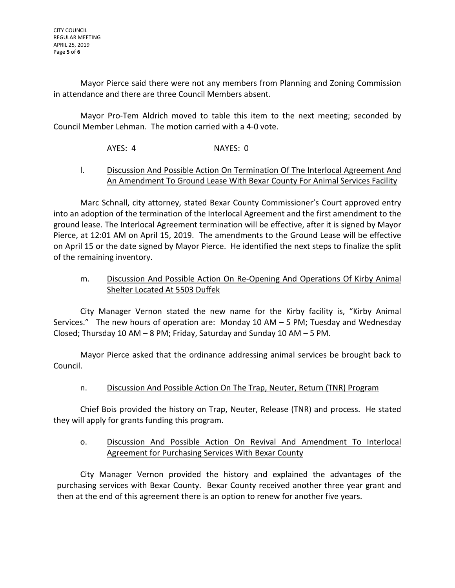Mayor Pierce said there were not any members from Planning and Zoning Commission in attendance and there are three Council Members absent.

Mayor Pro-Tem Aldrich moved to table this item to the next meeting; seconded by Council Member Lehman. The motion carried with a 4-0 vote.

AYES: 4 NAYES: 0

# l. Discussion And Possible Action On Termination Of The Interlocal Agreement And An Amendment To Ground Lease With Bexar County For Animal Services Facility

Marc Schnall, city attorney, stated Bexar County Commissioner's Court approved entry into an adoption of the termination of the Interlocal Agreement and the first amendment to the ground lease. The Interlocal Agreement termination will be effective, after it is signed by Mayor Pierce, at 12:01 AM on April 15, 2019. The amendments to the Ground Lease will be effective on April 15 or the date signed by Mayor Pierce. He identified the next steps to finalize the split of the remaining inventory.

# m. Discussion And Possible Action On Re-Opening And Operations Of Kirby Animal Shelter Located At 5503 Duffek

City Manager Vernon stated the new name for the Kirby facility is, "Kirby Animal Services." The new hours of operation are: Monday 10 AM – 5 PM; Tuesday and Wednesday Closed; Thursday 10 AM – 8 PM; Friday, Saturday and Sunday 10 AM – 5 PM.

Mayor Pierce asked that the ordinance addressing animal services be brought back to Council.

# n. Discussion And Possible Action On The Trap, Neuter, Return (TNR) Program

Chief Bois provided the history on Trap, Neuter, Release (TNR) and process. He stated they will apply for grants funding this program.

# o. Discussion And Possible Action On Revival And Amendment To Interlocal Agreement for Purchasing Services With Bexar County

City Manager Vernon provided the history and explained the advantages of the purchasing services with Bexar County. Bexar County received another three year grant and then at the end of this agreement there is an option to renew for another five years.